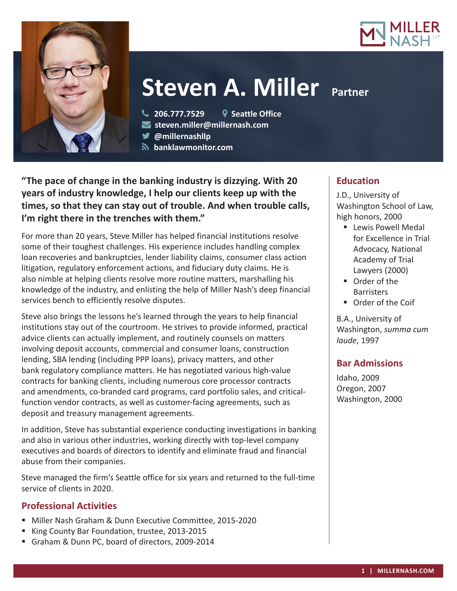



# **Steven A. Miller Partner**

**206.777.7529 Seattle Office**

**steven.miller@millernash.com** 

**@millernashllp** 

 **banklawmonitor.com**

**"The pace of change in the banking industry is dizzying. With 20 years of industry knowledge, I help our clients keep up with the times, so that they can stay out of trouble. And when trouble calls, I'm right there in the trenches with them."**

For more than 20 years, Steve Miller has helped financial institutions resolve some of their toughest challenges. His experience includes handling complex loan recoveries and bankruptcies, lender liability claims, consumer class action litigation, regulatory enforcement actions, and fiduciary duty claims. He is also nimble at helping clients resolve more routine matters, marshalling his knowledge of the industry, and enlisting the help of Miller Nash's deep financial services bench to efficiently resolve disputes.

Steve also brings the lessons he's learned through the years to help financial institutions stay out of the courtroom. He strives to provide informed, practical advice clients can actually implement, and routinely counsels on matters involving deposit accounts, commercial and consumer loans, construction lending, SBA lending (including PPP loans), privacy matters, and other bank regulatory compliance matters. He has negotiated various high-value contracts for banking clients, including numerous core processor contracts and amendments, co-branded card programs, card portfolio sales, and criticalfunction vendor contracts, as well as customer-facing agreements, such as deposit and treasury management agreements.

In addition, Steve has substantial experience conducting investigations in banking and also in various other industries, working directly with top-level company executives and boards of directors to identify and eliminate fraud and financial abuse from their companies.

Steve managed the firm's Seattle office for six years and returned to the full-time service of clients in 2020.

# **Professional Activities**

- Miller Nash Graham & Dunn Executive Committee, 2015-2020
- King County Bar Foundation, trustee, 2013-2015
- Graham & Dunn PC, board of directors, 2009-2014

# **Education**

J.D., University of Washington School of Law, high honors, 2000

- **Lewis Powell Medal** for Excellence in Trial Advocacy, National Academy of Trial Lawyers (2000)
- Order of the **Barristers**
- Order of the Coif

B.A., University of Washington, *summa cum laude*, 1997

## **Bar Admissions**

Idaho, 2009 Oregon, 2007 Washington, 2000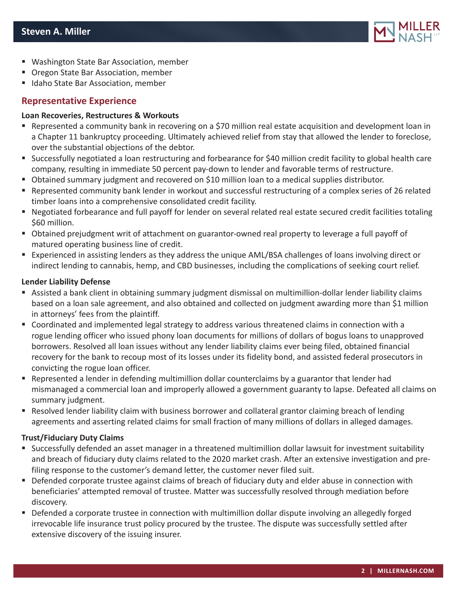

- Washington State Bar Association, member
- Oregon State Bar Association, member
- Idaho State Bar Association, member

## **Representative Experience**

## **Loan Recoveries, Restructures & Workouts**

- Represented a community bank in recovering on a \$70 million real estate acquisition and development loan in a Chapter 11 bankruptcy proceeding. Ultimately achieved relief from stay that allowed the lender to foreclose, over the substantial objections of the debtor.
- Successfully negotiated a loan restructuring and forbearance for \$40 million credit facility to global health care company, resulting in immediate 50 percent pay-down to lender and favorable terms of restructure.
- Obtained summary judgment and recovered on \$10 million loan to a medical supplies distributor.
- Represented community bank lender in workout and successful restructuring of a complex series of 26 related timber loans into a comprehensive consolidated credit facility.
- Negotiated forbearance and full payoff for lender on several related real estate secured credit facilities totaling \$60 million.
- Obtained prejudgment writ of attachment on guarantor-owned real property to leverage a full payoff of matured operating business line of credit.
- Experienced in assisting lenders as they address the unique AML/BSA challenges of loans involving direct or indirect lending to cannabis, hemp, and CBD businesses, including the complications of seeking court relief.

## **Lender Liability Defense**

- Assisted a bank client in obtaining summary judgment dismissal on multimillion-dollar lender liability claims based on a loan sale agreement, and also obtained and collected on judgment awarding more than \$1 million in attorneys' fees from the plaintiff.
- Coordinated and implemented legal strategy to address various threatened claims in connection with a rogue lending officer who issued phony loan documents for millions of dollars of bogus loans to unapproved borrowers. Resolved all loan issues without any lender liability claims ever being filed, obtained financial recovery for the bank to recoup most of its losses under its fidelity bond, and assisted federal prosecutors in convicting the rogue loan officer.
- **•** Represented a lender in defending multimillion dollar counterclaims by a guarantor that lender had mismanaged a commercial loan and improperly allowed a government guaranty to lapse. Defeated all claims on summary judgment.
- Resolved lender liability claim with business borrower and collateral grantor claiming breach of lending agreements and asserting related claims for small fraction of many millions of dollars in alleged damages.

## **Trust/Fiduciary Duty Claims**

- Successfully defended an asset manager in a threatened multimillion dollar lawsuit for investment suitability and breach of fiduciary duty claims related to the 2020 market crash. After an extensive investigation and prefiling response to the customer's demand letter, the customer never filed suit.
- **Defended corporate trustee against claims of breach of fiduciary duty and elder abuse in connection with** beneficiaries' attempted removal of trustee. Matter was successfully resolved through mediation before discovery.
- Defended a corporate trustee in connection with multimillion dollar dispute involving an allegedly forged irrevocable life insurance trust policy procured by the trustee. The dispute was successfully settled after extensive discovery of the issuing insurer.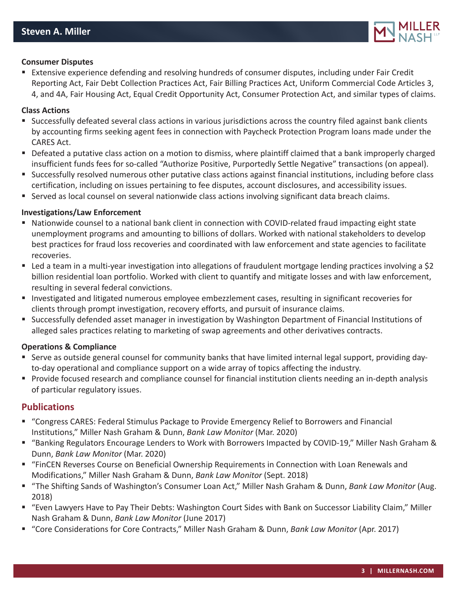

#### **Consumer Disputes**

 Extensive experience defending and resolving hundreds of consumer disputes, including under Fair Credit Reporting Act, Fair Debt Collection Practices Act, Fair Billing Practices Act, Uniform Commercial Code Articles 3, 4, and 4A, Fair Housing Act, Equal Credit Opportunity Act, Consumer Protection Act, and similar types of claims.

#### **Class Actions**

- Successfully defeated several class actions in various jurisdictions across the country filed against bank clients by accounting firms seeking agent fees in connection with Paycheck Protection Program loans made under the CARES Act.
- Defeated a putative class action on a motion to dismiss, where plaintiff claimed that a bank improperly charged insufficient funds fees for so-called "Authorize Positive, Purportedly Settle Negative" transactions (on appeal).
- Successfully resolved numerous other putative class actions against financial institutions, including before class certification, including on issues pertaining to fee disputes, account disclosures, and accessibility issues.
- Served as local counsel on several nationwide class actions involving significant data breach claims.

#### **Investigations/Law Enforcement**

- Nationwide counsel to a national bank client in connection with COVID-related fraud impacting eight state unemployment programs and amounting to billions of dollars. Worked with national stakeholders to develop best practices for fraud loss recoveries and coordinated with law enforcement and state agencies to facilitate recoveries.
- Led a team in a multi-year investigation into allegations of fraudulent mortgage lending practices involving a \$2 billion residential loan portfolio. Worked with client to quantify and mitigate losses and with law enforcement, resulting in several federal convictions.
- Investigated and litigated numerous employee embezzlement cases, resulting in significant recoveries for clients through prompt investigation, recovery efforts, and pursuit of insurance claims.
- Successfully defended asset manager in investigation by Washington Department of Financial Institutions of alleged sales practices relating to marketing of swap agreements and other derivatives contracts.

#### **Operations & Compliance**

- Serve as outside general counsel for community banks that have limited internal legal support, providing dayto-day operational and compliance support on a wide array of topics affecting the industry.
- Provide focused research and compliance counsel for financial institution clients needing an in-depth analysis of particular regulatory issues.

## **Publications**

- "Congress CARES: Federal Stimulus Package to Provide Emergency Relief to Borrowers and Financial Institutions," Miller Nash Graham & Dunn, *Bank Law Monitor* (Mar. 2020)
- "Banking Regulators Encourage Lenders to Work with Borrowers Impacted by COVID-19," Miller Nash Graham & Dunn, *Bank Law Monitor* (Mar. 2020)
- "FinCEN Reverses Course on Beneficial Ownership Requirements in Connection with Loan Renewals and Modifications," Miller Nash Graham & Dunn, *Bank Law Monitor* (Sept. 2018)
- "The Shifting Sands of Washington's Consumer Loan Act," Miller Nash Graham & Dunn, *Bank Law Monitor* (Aug. 2018)
- "Even Lawyers Have to Pay Their Debts: Washington Court Sides with Bank on Successor Liability Claim," Miller Nash Graham & Dunn, *Bank Law Monitor* (June 2017)
- "Core Considerations for Core Contracts," Miller Nash Graham & Dunn, *Bank Law Monitor* (Apr. 2017)